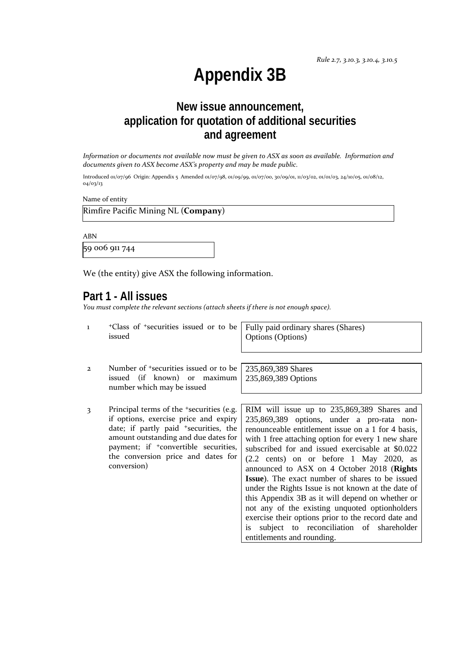## **Appendix 3B**

## **New issue announcement, application for quotation of additional securities and agreement**

*Information or documents not available now must be given to ASX as soon as available. Information and documents given to ASX become ASX's property and may be made public.*

Introduced 01/07/96 Origin: Appendix 5 Amended 01/07/98, 01/09/99, 01/07/00, 30/09/01, 11/03/02, 01/01/03, 24/10/05, 01/08/12, 04/03/13

Name of entity

Rimfire Pacific Mining NL (**Company**)

ABN

59 006 911 744

We (the entity) give ASX the following information.

#### **Part 1 - All issues**

*You must complete the relevant sections (attach sheets if there is not enough space).*

1 +Class of +securities issued or to be issued

Fully paid ordinary shares (Shares) Options (Options)

- 2 Number of +securities issued or to be issued (if known) or maximum number which may be issued
- 3 Principal terms of the +securities (e.g. if options, exercise price and expiry date; if partly paid <sup>+</sup>securities, the amount outstanding and due dates for payment; if <sup>+</sup>convertible securities, the conversion price and dates for conversion)

235,869,389 Shares 235,869,389 Options

RIM will issue up to 235,869,389 Shares and 235,869,389 options, under a pro-rata nonrenounceable entitlement issue on a 1 for 4 basis, with 1 free attaching option for every 1 new share subscribed for and issued exercisable at \$0.022 (2.2 cents) on or before 1 May 2020, as announced to ASX on 4 October 2018 (**Rights Issue**). The exact number of shares to be issued under the Rights Issue is not known at the date of this Appendix 3B as it will depend on whether or not any of the existing unquoted optionholders exercise their options prior to the record date and is subject to reconciliation of shareholder entitlements and rounding.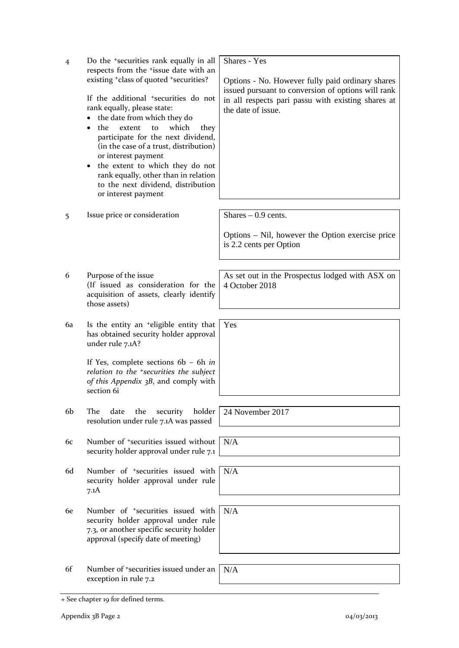| $\overline{4}$ | Do the <sup>+</sup> securities rank equally in all<br>respects from the <sup>+</sup> issue date with an<br>existing <sup>+</sup> class of quoted <sup>+</sup> securities?<br>If the additional <sup>+</sup> securities do not<br>rank equally, please state:<br>the date from which they do<br>which<br>the<br>extent<br>to<br>they<br>participate for the next dividend,<br>(in the case of a trust, distribution)<br>or interest payment<br>the extent to which they do not<br>٠<br>rank equally, other than in relation<br>to the next dividend, distribution<br>or interest payment | Shares - Yes<br>Options - No. However fully paid ordinary shares<br>issued pursuant to conversion of options will rank<br>in all respects pari passu with existing shares at<br>the date of issue. |
|----------------|-----------------------------------------------------------------------------------------------------------------------------------------------------------------------------------------------------------------------------------------------------------------------------------------------------------------------------------------------------------------------------------------------------------------------------------------------------------------------------------------------------------------------------------------------------------------------------------------|----------------------------------------------------------------------------------------------------------------------------------------------------------------------------------------------------|
| 5              | Issue price or consideration                                                                                                                                                                                                                                                                                                                                                                                                                                                                                                                                                            | Shares $-0.9$ cents.<br>Options – Nil, however the Option exercise price<br>is 2.2 cents per Option                                                                                                |
| 6              | Purpose of the issue<br>(If issued as consideration for the<br>acquisition of assets, clearly identify<br>those assets)                                                                                                                                                                                                                                                                                                                                                                                                                                                                 | As set out in the Prospectus lodged with ASX on<br>4 October 2018                                                                                                                                  |
| 6a             | Is the entity an <sup>+</sup> eligible entity that<br>has obtained security holder approval<br>under rule 7.1A?<br>If Yes, complete sections $6b - 6h$ in<br>relation to the <sup>+</sup> securities the subject<br>of this Appendix 3B, and comply with<br>section 6i                                                                                                                                                                                                                                                                                                                  | Yes                                                                                                                                                                                                |
| 6b             | holder<br>The<br>date<br>the<br>security<br>resolution under rule 7.1A was passed                                                                                                                                                                                                                                                                                                                                                                                                                                                                                                       | 24 November 2017                                                                                                                                                                                   |
| 6с             | Number of <sup>+</sup> securities issued without<br>security holder approval under rule 7.1                                                                                                                                                                                                                                                                                                                                                                                                                                                                                             | N/A                                                                                                                                                                                                |
| 6d             | Number of <sup>+</sup> securities issued with<br>security holder approval under rule<br>7.1A                                                                                                                                                                                                                                                                                                                                                                                                                                                                                            | N/A                                                                                                                                                                                                |
| 6e             | Number of <sup>+</sup> securities issued with<br>security holder approval under rule<br>7.3, or another specific security holder<br>approval (specify date of meeting)                                                                                                                                                                                                                                                                                                                                                                                                                  | N/A                                                                                                                                                                                                |
| 6f             | Number of <sup>+</sup> securities issued under an<br>exception in rule 7.2                                                                                                                                                                                                                                                                                                                                                                                                                                                                                                              | N/A                                                                                                                                                                                                |

<sup>+</sup> See chapter 19 for defined terms.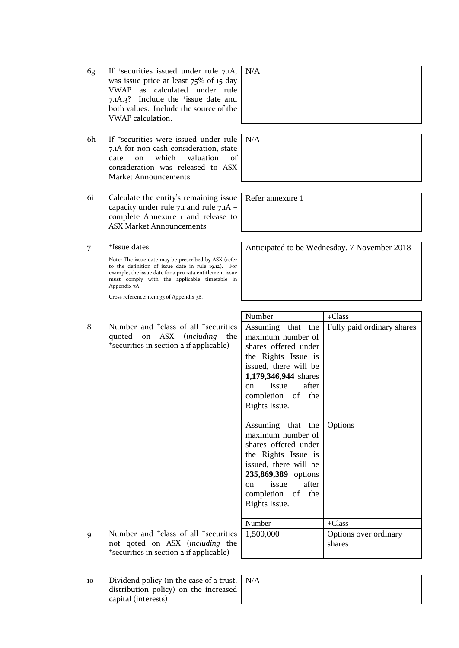- 6g If +securities issued under rule 7.1A, was issue price at least 75% of 15 day VWAP as calculated under rule 7.1A.3? Include the +issue date and both values. Include the source of the VWAP calculation.
- 6h If +securities were issued under rule 7.1A for non-cash consideration, state date on which valuation of consideration was released to ASX Market Announcements
- 6i Calculate the entity's remaining issue capacity under rule 7.1 and rule 7.1A – complete Annexure 1 and release to ASX Market Announcements
- 7 +Issue dates

Note: The issue date may be prescribed by ASX (refer to the definition of issue date in rule 19.12). For example, the issue date for a pro rata entitlement issue must comply with the applicable timetable in Appendix 7A.

Cross reference: item 33 of Appendix 3B.

8 Number and <sup>+</sup>class of all <sup>+</sup>securitie quoted on ASX (*including* the <sup>+</sup>securities in section 2 if applicable)

| N/A |  |  |  |
|-----|--|--|--|
|     |  |  |  |
|     |  |  |  |
|     |  |  |  |

N/A

Refer annexure 1

Anticipated to be Wednesday, 7 November 2018

|         | Number                                                                                                                                                                                           | +Class                          |
|---------|--------------------------------------------------------------------------------------------------------------------------------------------------------------------------------------------------|---------------------------------|
| 'S<br>e | Assuming that the<br>maximum number of                                                                                                                                                           | Fully paid ordinary shares      |
|         | shares offered under<br>the Rights Issue is<br>issued, there will be                                                                                                                             |                                 |
|         | 1,179,346,944 shares                                                                                                                                                                             |                                 |
|         | on issue<br>after<br>completion of the<br>Rights Issue.                                                                                                                                          |                                 |
|         | Assuming that the<br>maximum number of<br>shares offered under<br>the Rights Issue is<br>issued, there will be<br>235,869,389 options<br>after<br>on issue<br>completion of the<br>Rights Issue. | Options                         |
|         | Number                                                                                                                                                                                           | $+Class$                        |
| .s<br>e | 1,500,000                                                                                                                                                                                        | Options over ordinary<br>shares |

- 9 Number and <sup>+</sup>class of all <sup>+</sup>securitie not qoted on ASX (*including* the <sup>+</sup>securities in section 2 if applicable)
- 10 Dividend policy (in the case of a trust, N/Adistribution policy) on the increased capital (interests)

| $\nabla/A$ |  |  |  |
|------------|--|--|--|
|            |  |  |  |
|            |  |  |  |
|            |  |  |  |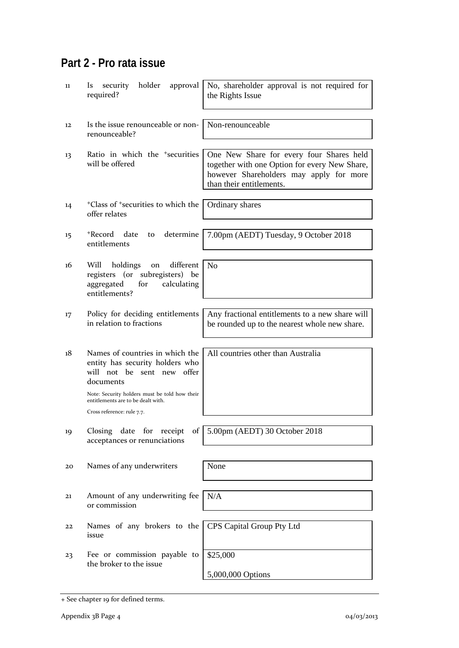## **Part 2 - Pro rata issue**

| 11 | security<br>holder<br>approval<br><b>ls</b><br>required?                                                                                                                                             | No, shareholder approval is not required for<br>the Rights Issue                                                                                                 |
|----|------------------------------------------------------------------------------------------------------------------------------------------------------------------------------------------------------|------------------------------------------------------------------------------------------------------------------------------------------------------------------|
| 12 | Is the issue renounceable or non-<br>renounceable?                                                                                                                                                   | Non-renounceable                                                                                                                                                 |
| 13 | Ratio in which the <sup>+</sup> securities<br>will be offered                                                                                                                                        | One New Share for every four Shares held<br>together with one Option for every New Share,<br>however Shareholders may apply for more<br>than their entitlements. |
| 14 | <sup>+</sup> Class of <sup>+</sup> securities to which the<br>offer relates                                                                                                                          | Ordinary shares                                                                                                                                                  |
| 15 | determine<br>+Record<br>date<br>to<br>entitlements                                                                                                                                                   | 7.00pm (AEDT) Tuesday, 9 October 2018                                                                                                                            |
| 16 | different<br>Will<br>holdings<br>on<br>registers (or subregisters) be<br>calculating<br>aggregated<br>for<br>entitlements?                                                                           | N <sub>o</sub>                                                                                                                                                   |
| 17 | Policy for deciding entitlements<br>in relation to fractions                                                                                                                                         | Any fractional entitlements to a new share will<br>be rounded up to the nearest whole new share.                                                                 |
| 18 | Names of countries in which the<br>entity has security holders who<br>will not be sent new offer<br>documents<br>Note: Security holders must be told how their<br>entitlements are to be dealt with. | All countries other than Australia                                                                                                                               |
| 19 | Cross reference: rule 7.7.<br>date for<br>receipt<br>Closing<br>of                                                                                                                                   | 5.00pm (AEDT) 30 October 2018                                                                                                                                    |
|    | acceptances or renunciations                                                                                                                                                                         |                                                                                                                                                                  |
| 20 | Names of any underwriters                                                                                                                                                                            | None                                                                                                                                                             |
| 21 | Amount of any underwriting fee<br>or commission                                                                                                                                                      | N/A                                                                                                                                                              |
| 22 | Names of any brokers to the<br>issue                                                                                                                                                                 | CPS Capital Group Pty Ltd                                                                                                                                        |
| 23 | Fee or commission payable to<br>the broker to the issue                                                                                                                                              | \$25,000                                                                                                                                                         |
|    |                                                                                                                                                                                                      | 5,000,000 Options                                                                                                                                                |

<sup>+</sup> See chapter 19 for defined terms.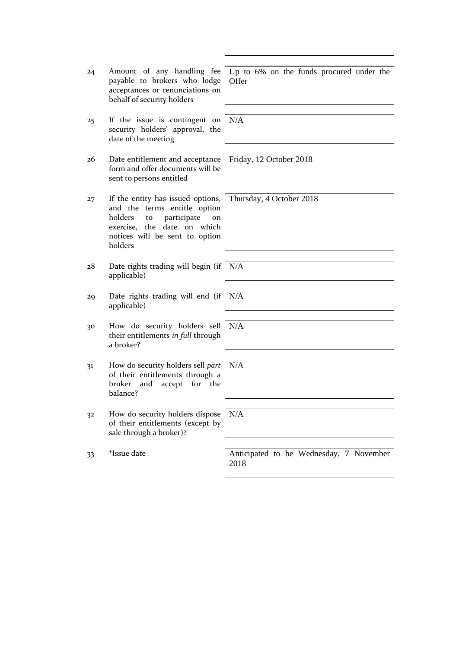| 24             | Amount of any handling fee<br>payable to brokers who lodge<br>acceptances or renunciations on<br>behalf of security holders                                                         | Up to 6% on the funds procured under the<br>Offer |
|----------------|-------------------------------------------------------------------------------------------------------------------------------------------------------------------------------------|---------------------------------------------------|
| 25             | If the issue is contingent on<br>security holders' approval, the<br>date of the meeting                                                                                             | N/A                                               |
| 26             | Date entitlement and acceptance<br>form and offer documents will be<br>sent to persons entitled                                                                                     | Friday, 12 October 2018                           |
| 27             | If the entity has issued options,<br>and the terms entitle option<br>holders<br>participate<br>to<br>on<br>exercise, the date on which<br>notices will be sent to option<br>holders | Thursday, 4 October 2018                          |
| 28             | Date rights trading will begin (if<br>applicable)                                                                                                                                   | N/A                                               |
| 29             | Date rights trading will end (if<br>applicable)                                                                                                                                     | N/A                                               |
| 30             | How do security holders sell<br>their entitlements in full through<br>a broker?                                                                                                     | N/A                                               |
| 31             | How do security holders sell part<br>of their entitlements through a<br>and accept for the<br>broker<br>balance?                                                                    | N/A                                               |
| 3 <sup>2</sup> | How do security holders dispose<br>of their entitlements (except by<br>sale through a broker)?                                                                                      | N/A                                               |
| 33             | <sup>+</sup> Issue date                                                                                                                                                             | Anticipated to be Wednesday, 7 November<br>2018   |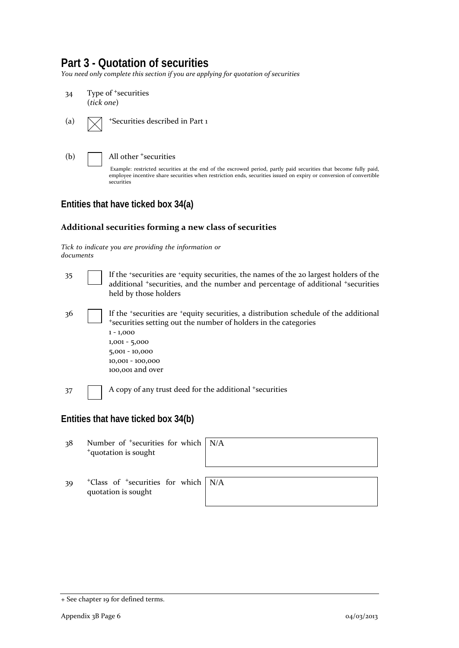### **Part 3 - Quotation of securities**

*You need only complete this section if you are applying for quotation of securities*



- (a)  $\sqrt{\phantom{a}}$  +Securities described in Part 1
- 

(b) All other <sup>+</sup>securities

Example: restricted securities at the end of the escrowed period, partly paid securities that become fully paid, employee incentive share securities when restriction ends, securities issued on expiry or conversion of convertible securities

#### **Entities that have ticked box 34(a)**

#### **Additional securities forming a new class of securities**

*Tick to indicate you are providing the information or documents*

| 35                                  |  | If the 'securities are 'equity securities, the names of the 20 largest holders of the<br>additional <i>*securities</i> , and the number and percentage of additional <i>*securities</i><br>held by those holders                                    |  |  |
|-------------------------------------|--|-----------------------------------------------------------------------------------------------------------------------------------------------------------------------------------------------------------------------------------------------------|--|--|
| 36                                  |  | If the *securities are *equity securities, a distribution schedule of the additional<br>*securities setting out the number of holders in the categories<br>$1 - 1,000$<br>$1,001 - 5,000$<br>5,001 - 10,000<br>10,001 - 100,000<br>100,001 and over |  |  |
| 37                                  |  | A copy of any trust deed for the additional <sup>+</sup> securities                                                                                                                                                                                 |  |  |
| Entities that have ticked box 34(b) |  |                                                                                                                                                                                                                                                     |  |  |

38 Number of +securities for which <sup>+</sup>quotation is sought N/A

39 <sup>+</sup>Class of +securities for which quotation is sought



<sup>+</sup> See chapter 19 for defined terms.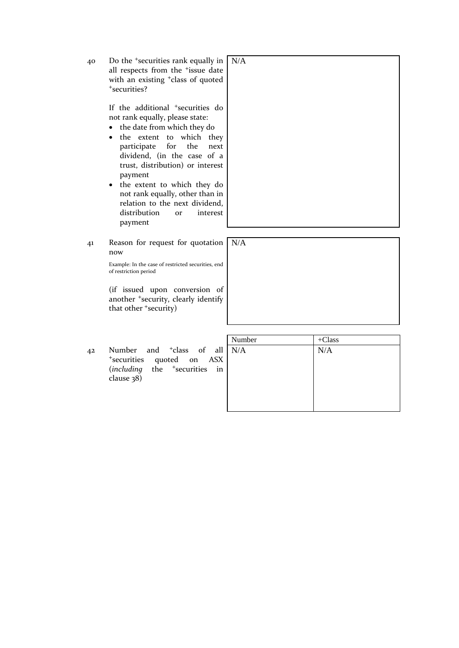40 Do the +securities rank equally in all respects from the <sup>+</sup>issue date with an existing <sup>+</sup>class of quoted <sup>+</sup>securities?

> If the additional <sup>+</sup>securities do not rank equally, please state:

N/A

- the date from which they do
- the extent to which they participate for the next dividend, (in the case of a trust, distribution) or interest payment
- the extent to which they do not rank equally, other than in relation to the next dividend, distribution or interest payment
- 41 Reason for request for quotation N/A now

Example: In the case of restricted securities, end of restriction period

(if issued upon conversion of another <sup>+</sup>security, clearly identify that other <sup>+</sup>security)

42 Number and <sup>+</sup>class of all <sup>+</sup>securities quoted on ASX (*including* the +securities in clause 38)

| Number | $+Class$ |
|--------|----------|
| N/A    | N/A      |
|        |          |
|        |          |
|        |          |
|        |          |
|        |          |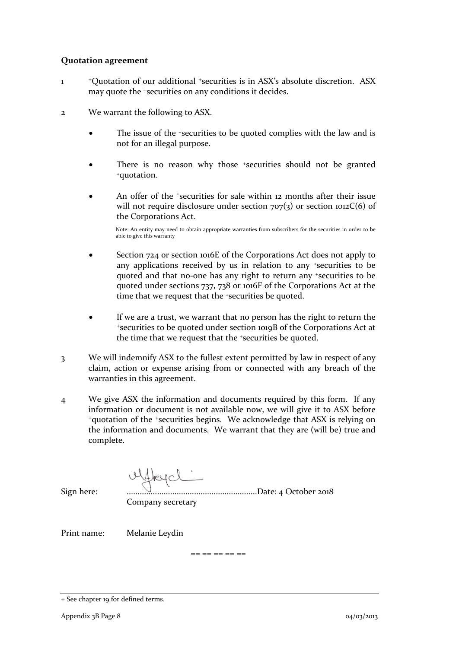#### **Quotation agreement**

- 1 +Quotation of our additional +securities is in ASX's absolute discretion. ASX may quote the <sup>+</sup>securities on any conditions it decides.
- 2 We warrant the following to ASX.
	- The issue of the +securities to be quoted complies with the law and is not for an illegal purpose.
	- There is no reason why those <sup>+</sup>securities should not be granted <sup>+</sup>quotation.
	- An offer of the *\*securities* for sale within 12 months after their issue will not require disclosure under section  $707(3)$  or section  $1012C(6)$  of the Corporations Act.

Note: An entity may need to obtain appropriate warranties from subscribers for the securities in order to be able to give this warranty

- Section 724 or section 1016E of the Corporations Act does not apply to any applications received by us in relation to any +securities to be quoted and that no-one has any right to return any +securities to be quoted under sections 737, 738 or 1016F of the Corporations Act at the time that we request that the <sup>+</sup>securities be quoted.
- If we are a trust, we warrant that no person has the right to return the <sup>+</sup>securities to be quoted under section 1019B of the Corporations Act at the time that we request that the +securities be quoted.
- 3 We will indemnify ASX to the fullest extent permitted by law in respect of any claim, action or expense arising from or connected with any breach of the warranties in this agreement.
- 4 We give ASX the information and documents required by this form. If any information or document is not available now, we will give it to ASX before <sup>+</sup>quotation of the +securities begins. We acknowledge that ASX is relying on the information and documents. We warrant that they are (will be) true and complete.

| Sign here:<br>Company secretary |  | $191 \text{ MeV}$ |  |
|---------------------------------|--|-------------------|--|
|---------------------------------|--|-------------------|--|

Print name: Melanie Leydin

 $-$ 

<sup>+</sup> See chapter 19 for defined terms.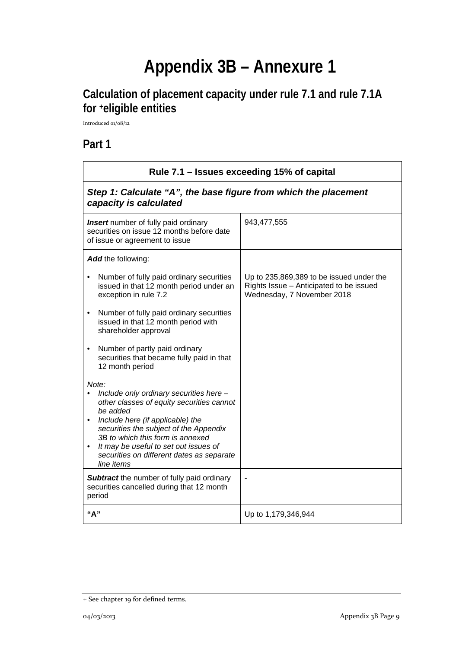# **Appendix 3B – Annexure 1**

## **Calculation of placement capacity under rule 7.1 and rule 7.1A for +eligible entities**

Introduced 01/08/12

**Part 1**

| Rule 7.1 - Issues exceeding 15% of capital                                                                                                                                                                                                                                                                                                   |                                                                                                                   |  |
|----------------------------------------------------------------------------------------------------------------------------------------------------------------------------------------------------------------------------------------------------------------------------------------------------------------------------------------------|-------------------------------------------------------------------------------------------------------------------|--|
| Step 1: Calculate "A", the base figure from which the placement<br>capacity is calculated                                                                                                                                                                                                                                                    |                                                                                                                   |  |
| <b>Insert</b> number of fully paid ordinary<br>securities on issue 12 months before date<br>of issue or agreement to issue                                                                                                                                                                                                                   | 943,477,555                                                                                                       |  |
| Add the following:                                                                                                                                                                                                                                                                                                                           |                                                                                                                   |  |
| Number of fully paid ordinary securities<br>issued in that 12 month period under an<br>exception in rule 7.2                                                                                                                                                                                                                                 | Up to 235,869,389 to be issued under the<br>Rights Issue - Anticipated to be issued<br>Wednesday, 7 November 2018 |  |
| Number of fully paid ordinary securities<br>$\bullet$<br>issued in that 12 month period with<br>shareholder approval                                                                                                                                                                                                                         |                                                                                                                   |  |
| Number of partly paid ordinary<br>$\bullet$<br>securities that became fully paid in that<br>12 month period                                                                                                                                                                                                                                  |                                                                                                                   |  |
| Note:<br>Include only ordinary securities here -<br>other classes of equity securities cannot<br>be added<br>Include here (if applicable) the<br>$\bullet$<br>securities the subject of the Appendix<br>3B to which this form is annexed<br>It may be useful to set out issues of<br>securities on different dates as separate<br>line items |                                                                                                                   |  |
| <b>Subtract</b> the number of fully paid ordinary<br>securities cancelled during that 12 month<br>period                                                                                                                                                                                                                                     |                                                                                                                   |  |
| "A"                                                                                                                                                                                                                                                                                                                                          | Up to 1,179,346,944                                                                                               |  |

<sup>+</sup> See chapter 19 for defined terms.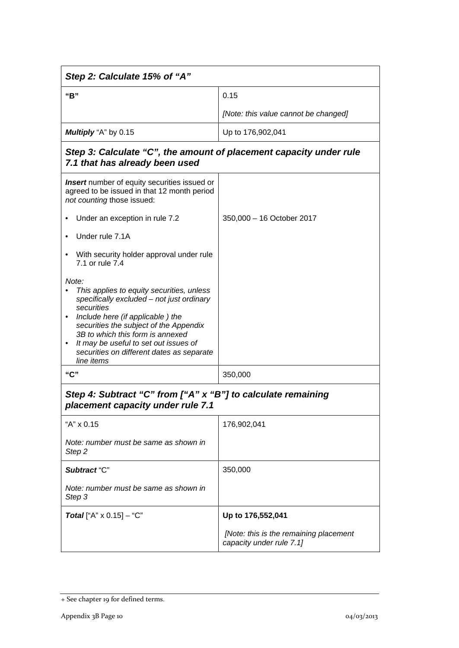| Step 2: Calculate 15% of "A"                                                                                                                                                                                                                                                                                                                     |                                                                    |  |  |
|--------------------------------------------------------------------------------------------------------------------------------------------------------------------------------------------------------------------------------------------------------------------------------------------------------------------------------------------------|--------------------------------------------------------------------|--|--|
| "B"                                                                                                                                                                                                                                                                                                                                              | 0.15                                                               |  |  |
|                                                                                                                                                                                                                                                                                                                                                  | [Note: this value cannot be changed]                               |  |  |
| Multiply "A" by 0.15                                                                                                                                                                                                                                                                                                                             | Up to 176,902,041                                                  |  |  |
| Step 3: Calculate "C", the amount of placement capacity under rule<br>7.1 that has already been used                                                                                                                                                                                                                                             |                                                                    |  |  |
| <b>Insert</b> number of equity securities issued or<br>agreed to be issued in that 12 month period<br>not counting those issued:                                                                                                                                                                                                                 |                                                                    |  |  |
| Under an exception in rule 7.2                                                                                                                                                                                                                                                                                                                   | 350,000 - 16 October 2017                                          |  |  |
| Under rule 7.1A                                                                                                                                                                                                                                                                                                                                  |                                                                    |  |  |
| With security holder approval under rule<br>7.1 or rule 7.4                                                                                                                                                                                                                                                                                      |                                                                    |  |  |
| Note:<br>This applies to equity securities, unless<br>$\bullet$<br>specifically excluded - not just ordinary<br>securities<br>Include here (if applicable) the<br>securities the subject of the Appendix<br>3B to which this form is annexed<br>It may be useful to set out issues of<br>securities on different dates as separate<br>line items |                                                                    |  |  |
| "C"                                                                                                                                                                                                                                                                                                                                              | 350,000                                                            |  |  |
| Step 4: Subtract "C" from ["A" x "B"] to calculate remaining<br>placement capacity under rule 7.1                                                                                                                                                                                                                                                |                                                                    |  |  |
| "A" x 0.15                                                                                                                                                                                                                                                                                                                                       | 176,902,041                                                        |  |  |
| Note: number must be same as shown in<br>Step 2                                                                                                                                                                                                                                                                                                  |                                                                    |  |  |
| Subtract "C"                                                                                                                                                                                                                                                                                                                                     | 350,000                                                            |  |  |
| Note: number must be same as shown in<br>Step 3                                                                                                                                                                                                                                                                                                  |                                                                    |  |  |
| <b>Total</b> ["A" $\times$ 0.15] – "C"                                                                                                                                                                                                                                                                                                           | Up to 176,552,041                                                  |  |  |
|                                                                                                                                                                                                                                                                                                                                                  | [Note: this is the remaining placement<br>capacity under rule 7.1] |  |  |

<sup>+</sup> See chapter 19 for defined terms.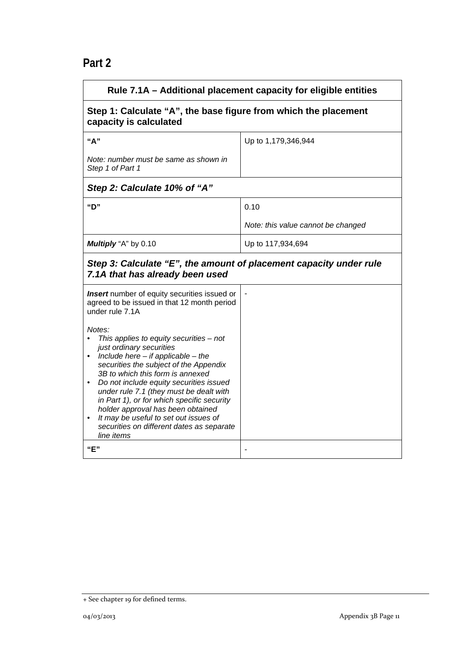## **Part 2**

| Rule 7.1A - Additional placement capacity for eligible entities                                                                                                                                                                                                                                                                                                                                                                                                                                                                                                                                                                                |                                    |  |
|------------------------------------------------------------------------------------------------------------------------------------------------------------------------------------------------------------------------------------------------------------------------------------------------------------------------------------------------------------------------------------------------------------------------------------------------------------------------------------------------------------------------------------------------------------------------------------------------------------------------------------------------|------------------------------------|--|
| Step 1: Calculate "A", the base figure from which the placement<br>capacity is calculated                                                                                                                                                                                                                                                                                                                                                                                                                                                                                                                                                      |                                    |  |
| "А"                                                                                                                                                                                                                                                                                                                                                                                                                                                                                                                                                                                                                                            | Up to 1,179,346,944                |  |
| Note: number must be same as shown in<br>Step 1 of Part 1                                                                                                                                                                                                                                                                                                                                                                                                                                                                                                                                                                                      |                                    |  |
| Step 2: Calculate 10% of "A"                                                                                                                                                                                                                                                                                                                                                                                                                                                                                                                                                                                                                   |                                    |  |
| "D"                                                                                                                                                                                                                                                                                                                                                                                                                                                                                                                                                                                                                                            | 0.10                               |  |
|                                                                                                                                                                                                                                                                                                                                                                                                                                                                                                                                                                                                                                                | Note: this value cannot be changed |  |
| Multiply "A" by 0.10                                                                                                                                                                                                                                                                                                                                                                                                                                                                                                                                                                                                                           | Up to 117,934,694                  |  |
| Step 3: Calculate "E", the amount of placement capacity under rule<br>7.1A that has already been used                                                                                                                                                                                                                                                                                                                                                                                                                                                                                                                                          |                                    |  |
| <b>Insert</b> number of equity securities issued or<br>agreed to be issued in that 12 month period<br>under rule 7.1A<br>Notes:<br>This applies to equity securities $-$ not<br>$\bullet$<br>just ordinary securities<br>Include here $-$ if applicable $-$ the<br>securities the subject of the Appendix<br>3B to which this form is annexed<br>Do not include equity securities issued<br>$\bullet$<br>under rule 7.1 (they must be dealt with<br>in Part 1), or for which specific security<br>holder approval has been obtained<br>It may be useful to set out issues of<br>securities on different dates as separate<br>line items<br>"E" |                                    |  |

<sup>+</sup> See chapter 19 for defined terms.